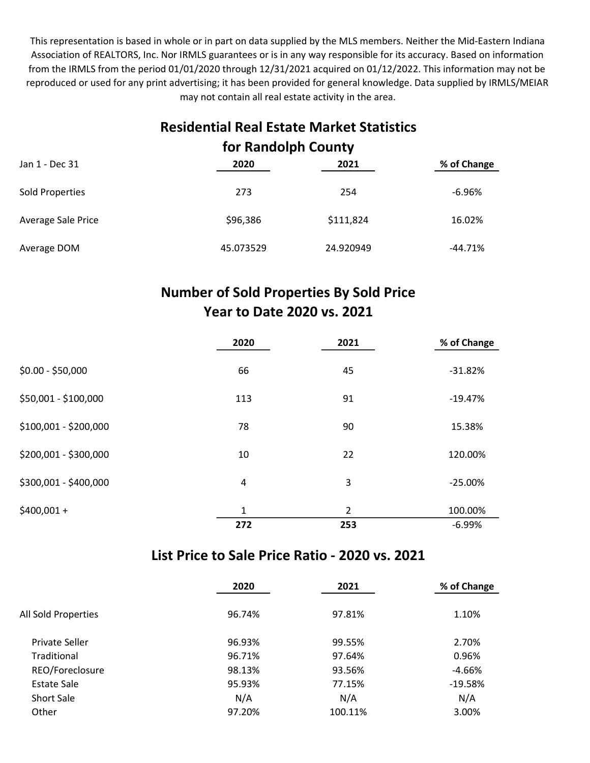This representation is based in whole or in part on data supplied by the MLS members. Neither the Mid-Eastern Indiana Association of REALTORS, Inc. Nor IRMLS guarantees or is in any way responsible for its accuracy. Based on information from the IRMLS from the period 01/01/2020 through 12/31/2021 acquired on 01/12/2022. This information may not be reproduced or used for any print advertising; it has been provided for general knowledge. Data supplied by IRMLS/MEIAR may not contain all real estate activity in the area.

# Residential Real Estate Market Statistics for Randolph County

| Jan 1 - Dec 31     | 2020      | 2021      | % of Change |  |
|--------------------|-----------|-----------|-------------|--|
| Sold Properties    | 273       | 254       | $-6.96%$    |  |
| Average Sale Price | \$96,386  | \$111,824 | 16.02%      |  |
| Average DOM        | 45.073529 | 24.920949 | $-44.71%$   |  |

### Number of Sold Properties By Sold Price Year to Date 2020 vs. 2021

|                       | 2020 | 2021           | % of Change |
|-----------------------|------|----------------|-------------|
| $$0.00 - $50,000$     | 66   | 45             | $-31.82%$   |
| \$50,001 - \$100,000  | 113  | 91             | $-19.47%$   |
| \$100,001 - \$200,000 | 78   | 90             | 15.38%      |
| \$200,001 - \$300,000 | 10   | 22             | 120.00%     |
| \$300,001 - \$400,000 | 4    | 3              | $-25.00%$   |
| $$400,001 +$          | 1    | $\overline{2}$ | 100.00%     |
|                       | 272  | 253            | $-6.99%$    |

#### List Price to Sale Price Ratio - 2020 vs. 2021

|                     | 2020   | 2021    | % of Change |  |
|---------------------|--------|---------|-------------|--|
| All Sold Properties | 96.74% | 97.81%  | 1.10%       |  |
| Private Seller      | 96.93% | 99.55%  | 2.70%       |  |
| Traditional         | 96.71% | 97.64%  | 0.96%       |  |
| REO/Foreclosure     | 98.13% | 93.56%  | $-4.66%$    |  |
| <b>Estate Sale</b>  | 95.93% | 77.15%  | $-19.58%$   |  |
| <b>Short Sale</b>   | N/A    | N/A     | N/A         |  |
| Other               | 97.20% | 100.11% | 3.00%       |  |
|                     |        |         |             |  |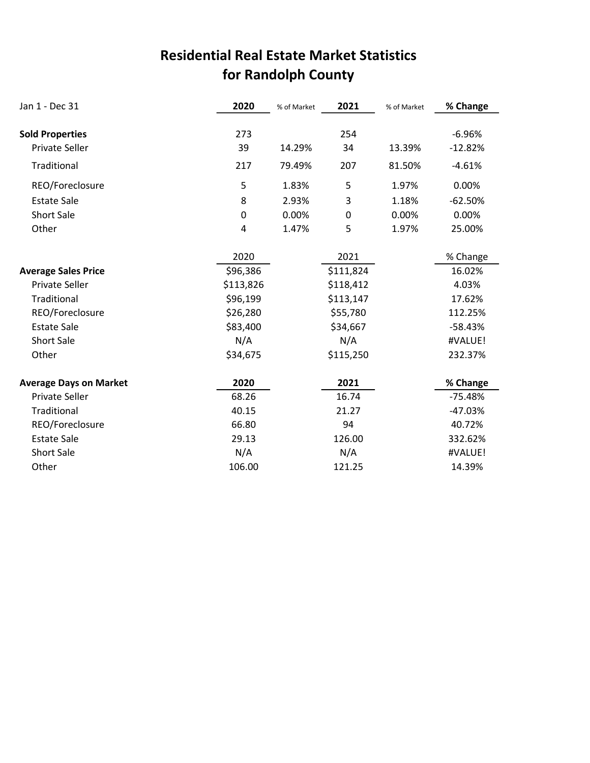# for Randolph County Residential Real Estate Market Statistics

| Jan 1 - Dec 31                | 2020      | % of Market | 2021        | % of Market | % Change  |
|-------------------------------|-----------|-------------|-------------|-------------|-----------|
|                               |           |             |             |             |           |
| <b>Sold Properties</b>        | 273       |             | 254         |             | $-6.96%$  |
| Private Seller                | 39        | 14.29%      | 34          | 13.39%      | $-12.82%$ |
| Traditional                   | 217       | 79.49%      | 207         | 81.50%      | $-4.61%$  |
| REO/Foreclosure               | 5         | 1.83%       | 5           | 1.97%       | 0.00%     |
| <b>Estate Sale</b>            | 8         | 2.93%       | 3           | 1.18%       | $-62.50%$ |
| <b>Short Sale</b>             | 0         | 0.00%       | $\mathbf 0$ | 0.00%       | 0.00%     |
| Other                         | 4         | 1.47%       | 5           | 1.97%       | 25.00%    |
|                               | 2020      |             | 2021        |             | % Change  |
| <b>Average Sales Price</b>    | \$96,386  |             | \$111,824   |             | 16.02%    |
| <b>Private Seller</b>         | \$113,826 |             | \$118,412   |             | 4.03%     |
| Traditional                   | \$96,199  |             | \$113,147   |             | 17.62%    |
| REO/Foreclosure               | \$26,280  |             | \$55,780    |             | 112.25%   |
| <b>Estate Sale</b>            | \$83,400  |             | \$34,667    |             | $-58.43%$ |
| <b>Short Sale</b>             | N/A       |             | N/A         |             | #VALUE!   |
| Other                         | \$34,675  |             | \$115,250   |             | 232.37%   |
| <b>Average Days on Market</b> | 2020      |             | 2021        |             | % Change  |
| <b>Private Seller</b>         | 68.26     |             | 16.74       |             | $-75.48%$ |
| Traditional                   | 40.15     |             | 21.27       |             | $-47.03%$ |
| REO/Foreclosure               | 66.80     |             | 94          |             | 40.72%    |
| <b>Estate Sale</b>            | 29.13     |             | 126.00      |             | 332.62%   |
| <b>Short Sale</b>             | N/A       |             | N/A         |             | #VALUE!   |
| Other                         | 106.00    |             | 121.25      |             | 14.39%    |